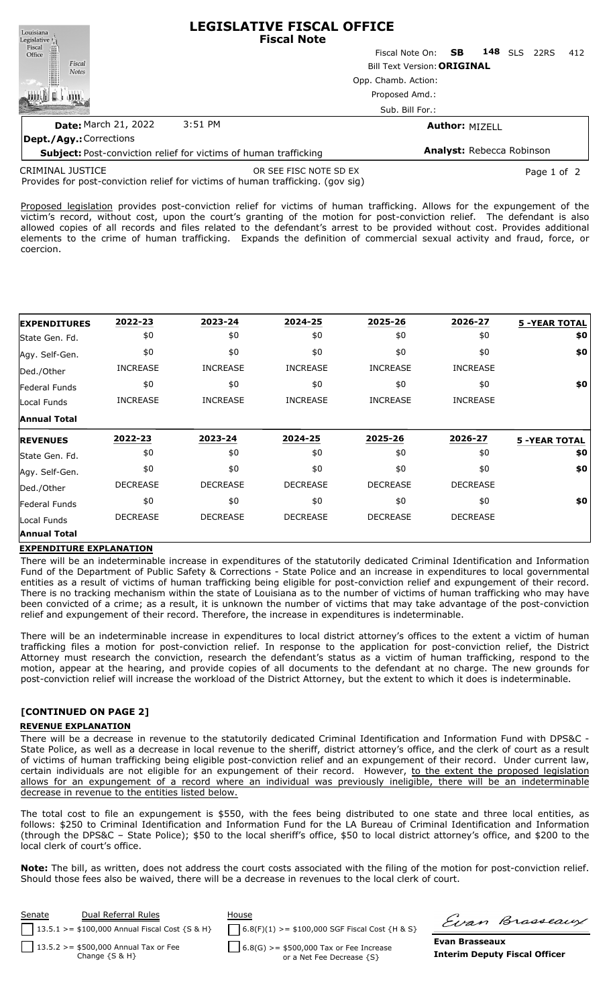| Louisiana<br>Legislative <sup>1</sup> | <b>LEGISLATIVE FISCAL OFFICE</b><br><b>Fiscal Note</b>                  |                           |                                  |     |            |      |     |  |  |
|---------------------------------------|-------------------------------------------------------------------------|---------------------------|----------------------------------|-----|------------|------|-----|--|--|
| Fiscal<br>Office                      |                                                                         | Fiscal Note On: <b>SB</b> |                                  | 148 | <b>SLS</b> | 22RS | 412 |  |  |
| Fiscal<br><b>Notes</b>                | <b>Bill Text Version: ORIGINAL</b>                                      |                           |                                  |     |            |      |     |  |  |
|                                       | Opp. Chamb. Action:<br>Proposed Amd.:                                   |                           |                                  |     |            |      |     |  |  |
|                                       |                                                                         |                           |                                  |     |            |      |     |  |  |
|                                       |                                                                         | Sub. Bill For.:           |                                  |     |            |      |     |  |  |
| <b>Date: March 21, 2022</b>           | 3:51 PM                                                                 |                           | <b>Author: MIZELL</b>            |     |            |      |     |  |  |
| <b>Dept./Agy.: Corrections</b>        |                                                                         |                           |                                  |     |            |      |     |  |  |
|                                       | <b>Subject:</b> Post-conviction relief for victims of human trafficking |                           | <b>Analyst: Rebecca Robinson</b> |     |            |      |     |  |  |
| $\sqrt{2}$                            |                                                                         |                           |                                  |     |            |      |     |  |  |

Provides for post-conviction relief for victims of human trafficking. (gov sig) CRIMINAL JUSTICE OR SEE FISC NOTE SD EX PAGE 2001 2012 10:00 Page 1 of 2

Proposed legislation provides post-conviction relief for victims of human trafficking. Allows for the expungement of the victim's record, without cost, upon the court's granting of the motion for post-conviction relief. The defendant is also allowed copies of all records and files related to the defendant's arrest to be provided without cost. Provides additional elements to the crime of human trafficking. Expands the definition of commercial sexual activity and fraud, force, or coercion.

| <b>EXPENDITURES</b>          | 2022-23         | 2023-24         | 2024-25         | 2025-26         | 2026-27         | <b>5 -YEAR TOTAL</b> |
|------------------------------|-----------------|-----------------|-----------------|-----------------|-----------------|----------------------|
| State Gen. Fd.               | \$0             | \$0             | \$0             | \$0             | \$0             | \$0                  |
| Agy. Self-Gen.               | \$0             | \$0             | \$0             | \$0             | \$0             | \$0                  |
| Ded./Other                   | <b>INCREASE</b> | <b>INCREASE</b> | <b>INCREASE</b> | <b>INCREASE</b> | <b>INCREASE</b> |                      |
| Federal Funds                | \$0             | \$0             | \$0             | \$0             | \$0             | \$0                  |
| Local Funds                  | <b>INCREASE</b> | <b>INCREASE</b> | <b>INCREASE</b> | <b>INCREASE</b> | <b>INCREASE</b> |                      |
| <b>Annual Total</b>          |                 |                 |                 |                 |                 |                      |
| <b>IREVENUES</b>             | 2022-23         | 2023-24         | 2024-25         | 2025-26         | 2026-27         | <b>5 -YEAR TOTAL</b> |
|                              |                 |                 |                 |                 |                 |                      |
| State Gen. Fd.               | \$0             | \$0             | \$0             | \$0             | \$0             | \$0                  |
| Agy. Self-Gen.               | \$0             | \$0             | \$0             | \$0             | \$0             | \$0                  |
|                              | <b>DECREASE</b> | <b>DECREASE</b> | <b>DECREASE</b> | <b>DECREASE</b> | <b>DECREASE</b> |                      |
| Ded./Other<br>lFederal Funds | \$0             | \$0             | \$0             | \$0             | \$0             | \$0                  |
| Local Funds                  | <b>DECREASE</b> | <b>DECREASE</b> | <b>DECREASE</b> | <b>DECREASE</b> | <b>DECREASE</b> |                      |

## **EXPENDITURE EXPLANATION**

There will be an indeterminable increase in expenditures of the statutorily dedicated Criminal Identification and Information Fund of the Department of Public Safety & Corrections - State Police and an increase in expenditures to local governmental entities as a result of victims of human trafficking being eligible for post-conviction relief and expungement of their record. There is no tracking mechanism within the state of Louisiana as to the number of victims of human trafficking who may have been convicted of a crime; as a result, it is unknown the number of victims that may take advantage of the post-conviction relief and expungement of their record. Therefore, the increase in expenditures is indeterminable.

There will be an indeterminable increase in expenditures to local district attorney's offices to the extent a victim of human trafficking files a motion for post-conviction relief. In response to the application for post-conviction relief, the District Attorney must research the conviction, research the defendant's status as a victim of human trafficking, respond to the motion, appear at the hearing, and provide copies of all documents to the defendant at no charge. The new grounds for post-conviction relief will increase the workload of the District Attorney, but the extent to which it does is indeterminable.

## **[CONTINUED ON PAGE 2]**

## **REVENUE EXPLANATION**

There will be a decrease in revenue to the statutorily dedicated Criminal Identification and Information Fund with DPS&C - State Police, as well as a decrease in local revenue to the sheriff, district attorney's office, and the clerk of court as a result of victims of human trafficking being eligible post-conviction relief and an expungement of their record. Under current law, certain individuals are not eligible for an expungement of their record. However, to the extent the proposed legislation allows for an expungement of a record where an individual was previously ineligible, there will be an indeterminable decrease in revenue to the entities listed below.

The total cost to file an expungement is \$550, with the fees being distributed to one state and three local entities, as follows: \$250 to Criminal Identification and Information Fund for the LA Bureau of Criminal Identification and Information (through the DPS&C – State Police); \$50 to the local sheriff's office, \$50 to local district attorney's office, and \$200 to the local clerk of court's office.

**Note:** The bill, as written, does not address the court costs associated with the filing of the motion for post-conviction relief. Should those fees also be waived, there will be a decrease in revenues to the local clerk of court.

| Senate | Dual Referral Rules                                            | House                                                                  |                | Evan Brasseaux                       |
|--------|----------------------------------------------------------------|------------------------------------------------------------------------|----------------|--------------------------------------|
|        | $13.5.1$ >= \$100,000 Annual Fiscal Cost {S & H}               | $6.8(F)(1)$ >= \$100,000 SGF Fiscal Cost {H & S}                       |                |                                      |
|        | $13.5.2 > = $500,000$ Annual Tax or Fee<br>Change $\{S \& H\}$ | $6.8(G)$ >= \$500,000 Tax or Fee Increase<br>or a Net Fee Decrease {S} | Evan Brasseaux | <b>Interim Deputy Fiscal Officer</b> |